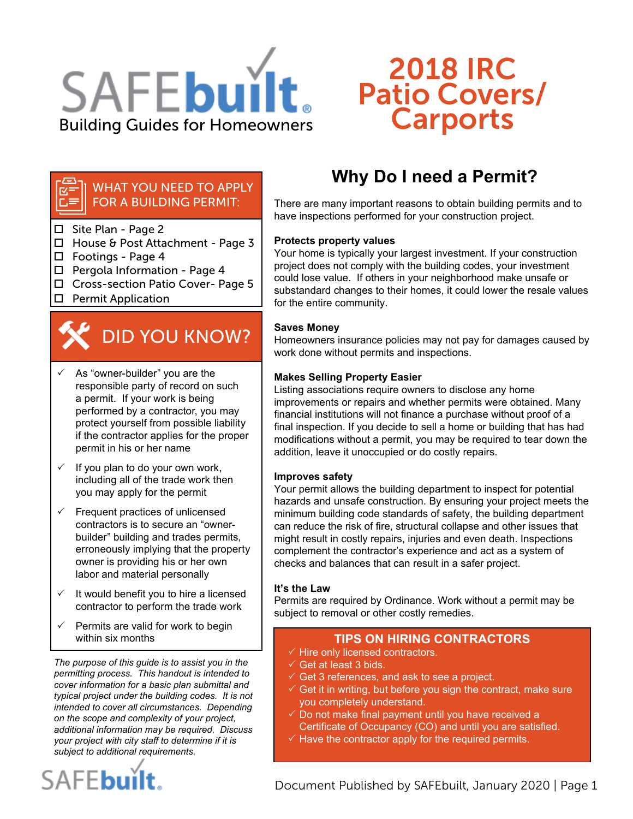

# 2018 IRC Patio Covers/ Carports

### WHAT YOU NEED TO APPLY FOR A BUILDING PERMIT:

- □ Site Plan Page 2
- House & Post Attachment Page 3
- $\Box$  Footings Page 4
- $\Box$  Pergola Information Page 4
- □ Cross-section Patio Cover- Page 5
- $\square$  Permit Application

# DID YOU KNOW?

- $\checkmark$  As "owner-builder" you are the responsible party of record on such a permit. If your work is being performed by a contractor, you may protect yourself from possible liability if the contractor applies for the proper permit in his or her name
- If you plan to do your own work, including all of the trade work then you may apply for the permit
- $\checkmark$  Frequent practices of unlicensed contractors is to secure an "ownerbuilder" building and trades permits, erroneously implying that the property owner is providing his or her own labor and material personally
- $\checkmark$  It would benefit you to hire a licensed contractor to perform the trade work
- Permits are valid for work to begin

*The purpose of this guide is to assist you in the permitting process. This handout is intended to cover information for a basic plan submittal and typical project under the building codes. It is not intended to cover all circumstances. Depending on the scope and complexity of your project, additional information may be required. Discuss your project with city staff to determine if it is subject to additional requirements.*

# SAFEbuilt.

# **Why Do I need a Permit?**

There are many important reasons to obtain building permits and to have inspections performed for your construction project.

### **Protects property values**

Your home is typically your largest investment. If your construction project does not comply with the building codes, your investment could lose value. If others in your neighborhood make unsafe or substandard changes to their homes, it could lower the resale values for the entire community.

### **Saves Money**

Homeowners insurance policies may not pay for damages caused by work done without permits and inspections.

### **Makes Selling Property Easier**

Listing associations require owners to disclose any home improvements or repairs and whether permits were obtained. Many financial institutions will not finance a purchase without proof of a final inspection. If you decide to sell a home or building that has had modifications without a permit, you may be required to tear down the addition, leave it unoccupied or do costly repairs.

### **Improves safety**

Your permit allows the building department to inspect for potential hazards and unsafe construction. By ensuring your project meets the minimum building code standards of safety, the building department can reduce the risk of fire, structural collapse and other issues that might result in costly repairs, injuries and even death. Inspections complement the contractor's experience and act as a system of checks and balances that can result in a safer project.

### **It's the Law**

Permits are required by Ordinance. Work without a permit may be subject to removal or other costly remedies.

### within six months **TIPS ON HIRING CONTRACTORS**

- $\checkmark$  Hire only licensed contractors.
- $\checkmark$  Get at least 3 bids.
- $\checkmark$  Get 3 references, and ask to see a project.
- $\checkmark$  Get it in writing, but before you sign the contract, make sure you completely understand.
- $\sqrt{2}$  Do not make final payment until you have received a Certificate of Occupancy (CO) and until you are satisfied.
- $\checkmark$  Have the contractor apply for the required permits.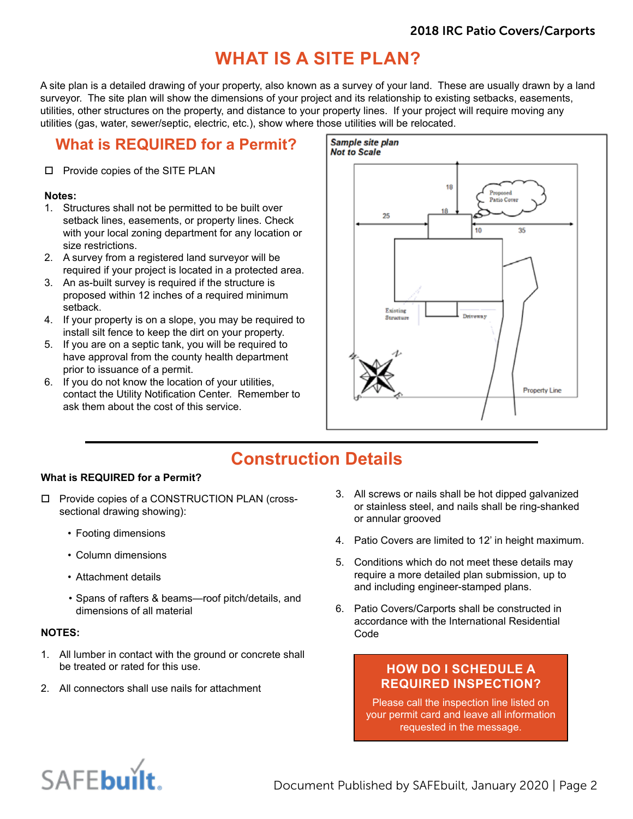# **WHAT IS A SITE PLAN?**

A site plan is a detailed drawing of your property, also known as a survey of your land. These are usually drawn by a land surveyor. The site plan will show the dimensions of your project and its relationship to existing setbacks, easements, utilities, other structures on the property, and distance to your property lines. If your project will require moving any utilities (gas, water, sewer/septic, electric, etc.), show where those utilities will be relocated.

## **What is REQUIRED for a Permit?**

### □ Provide copies of the SITE PLAN

### **Notes:**

- 1. Structures shall not be permitted to be built over setback lines, easements, or property lines. Check with your local zoning department for any location or size restrictions.
- 2. A survey from a registered land surveyor will be required if your project is located in a protected area.
- 3. An as-built survey is required if the structure is proposed within 12 inches of a required minimum setback.
- 4. If your property is on a slope, you may be required to install silt fence to keep the dirt on your property.
- 5. If you are on a septic tank, you will be required to have approval from the county health department prior to issuance of a permit.
- 6. If you do not know the location of your utilities, contact the Utility Notification Center. Remember to ask them about the cost of this service.



# **Construction Details**

### **What is REQUIRED for a Permit?**

- □ Provide copies of a CONSTRUCTION PLAN (crosssectional drawing showing):
	- Footing dimensions
	- Column dimensions
	- Attachment details
	- Spans of rafters & beams—roof pitch/details, and dimensions of all material

### **NOTES:**

- 1. All lumber in contact with the ground or concrete shall be treated or rated for this use.
- 2. All connectors shall use nails for attachment
- 3. All screws or nails shall be hot dipped galvanized or stainless steel, and nails shall be ring-shanked or annular grooved
- 4. Patio Covers are limited to 12' in height maximum.
- 5. Conditions which do not meet these details may require a more detailed plan submission, up to and including engineer-stamped plans.
- 6. Patio Covers/Carports shall be constructed in accordance with the International Residential Code

### **HOW DO I SCHEDULE A REQUIRED INSPECTION?**

Please call the inspection line listed on your permit card and leave all information requested in the message.

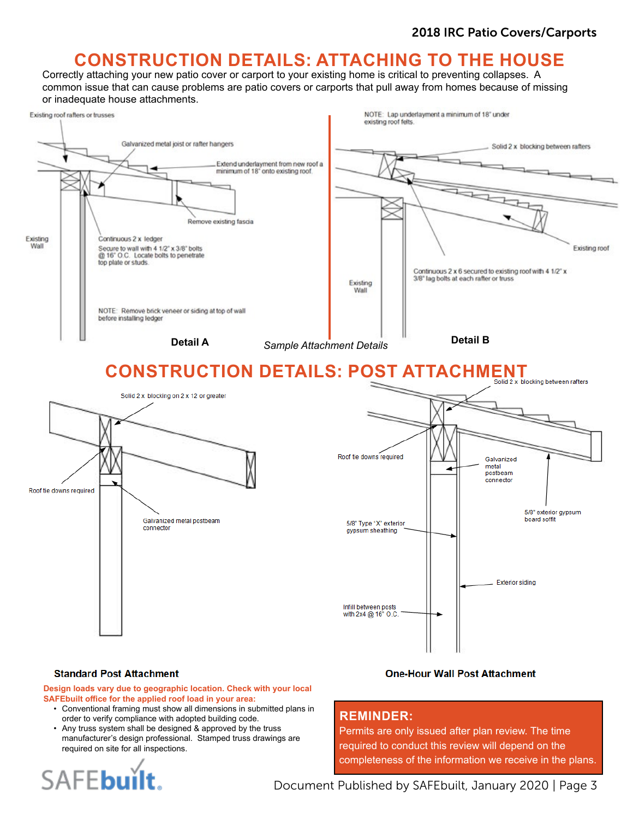# **CONSTRUCTION DETAILS: ATTACHING TO THE HOUSE**

Correctly attaching your new patio cover or carport to your existing home is critical to preventing collapses. A common issue that can cause problems are patio covers or carports that pull away from homes because of missing or inadequate house attachments.



### **Standard Post Attachment**

**Design loads vary due to geographic location. Check with your local SAFEbuilt office for the applied roof load in your area:** 

- Conventional framing must show all dimensions in submitted plans in order to verify compliance with adopted building code.
- Any truss system shall be designed & approved by the truss manufacturer's design professional. Stamped truss drawings are required on site for all inspections.



### **One-Hour Wall Post Attachment**

### **REMINDER:**

Permits are only issued after plan review. The time required to conduct this review will depend on the completeness of the information we receive in the plans.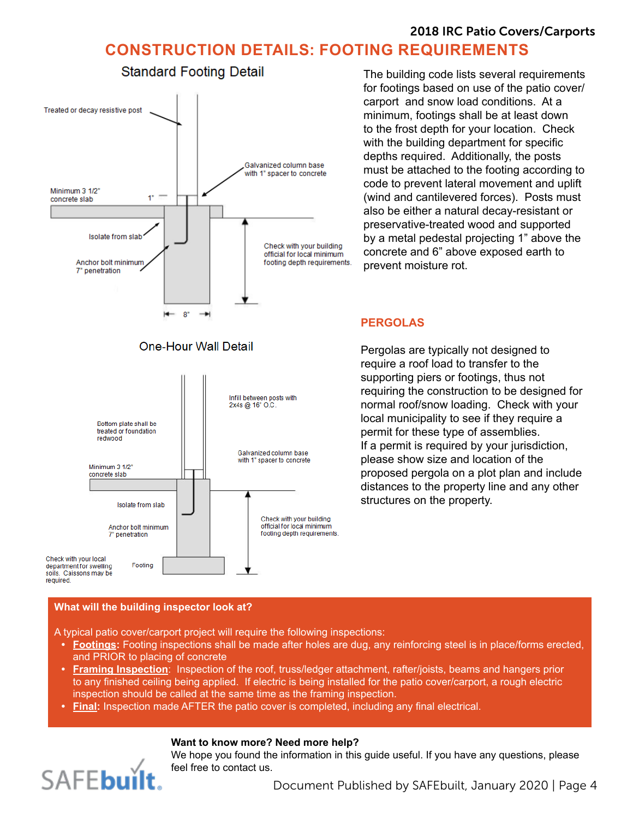## 2018 IRC Patio Covers/Carports **CONSTRUCTION DETAILS: FOOTING REQUIREMENTS**



The building code lists several requirements for footings based on use of the patio cover/ carport and snow load conditions. At a minimum, footings shall be at least down to the frost depth for your location. Check with the building department for specific depths required. Additionally, the posts must be attached to the footing according to code to prevent lateral movement and uplift (wind and cantilevered forces). Posts must also be either a natural decay-resistant or preservative-treated wood and supported by a metal pedestal projecting 1" above the concrete and 6" above exposed earth to prevent moisture rot.

### **PERGOLAS**

Pergolas are typically not designed to require a roof load to transfer to the supporting piers or footings, thus not requiring the construction to be designed for normal roof/snow loading. Check with your local municipality to see if they require a permit for these type of assemblies. If a permit is required by your jurisdiction, please show size and location of the proposed pergola on a plot plan and include distances to the property line and any other structures on the property.

### **What will the building inspector look at?**

A typical patio cover/carport project will require the following inspections:

- **• Footings:** Footing inspections shall be made after holes are dug, any reinforcing steel is in place/forms erected, and PRIOR to placing of concrete
- **• Framing Inspection**: Inspection of the roof, truss/ledger attachment, rafter/joists, beams and hangers prior to any finished ceiling being applied. If electric is being installed for the patio cover/carport, a rough electric inspection should be called at the same time as the framing inspection.
- **• Final:** Inspection made AFTER the patio cover is completed, including any final electrical.

### **Want to know more? Need more help?**

We hope you found the information in this guide useful. If you have any questions, please feel free to contact us.